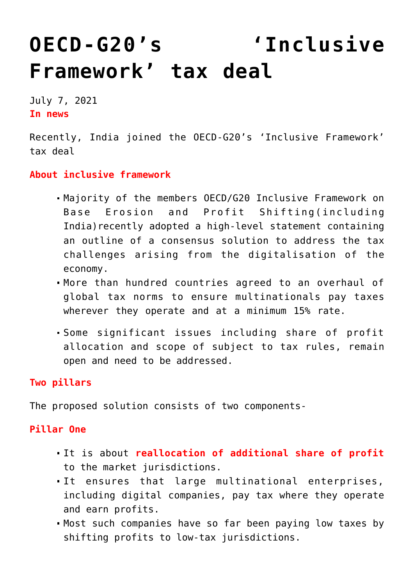# **[OECD-G20's 'Inclusive](https://journalsofindia.com/oecd-g20s-inclusive-framework-tax-deal/) [Framework' tax deal](https://journalsofindia.com/oecd-g20s-inclusive-framework-tax-deal/)**

July 7, 2021 **In news** 

Recently, India joined the OECD-G20's 'Inclusive Framework' tax deal

## **About inclusive framework**

- Majority of the members OECD/G20 Inclusive Framework on Base Erosion and Profit Shifting(including India) recently adopted a high-level statement containing an outline of a consensus solution to address the tax challenges arising from the digitalisation of the economy.
- More than hundred countries agreed to an overhaul of global tax norms to ensure multinationals pay taxes wherever they operate and at a minimum 15% rate.
- Some significant issues including share of profit allocation and scope of subject to tax rules, remain open and need to be addressed.

# **Two pillars**

The proposed solution consists of two components-

#### **Pillar One**

- It is about **reallocation of additional share of profit** to the market jurisdictions.
- It ensures that large multinational enterprises, including digital companies, pay tax where they operate and earn profits.
- Most such companies have so far been paying low taxes by shifting profits to low-tax jurisdictions.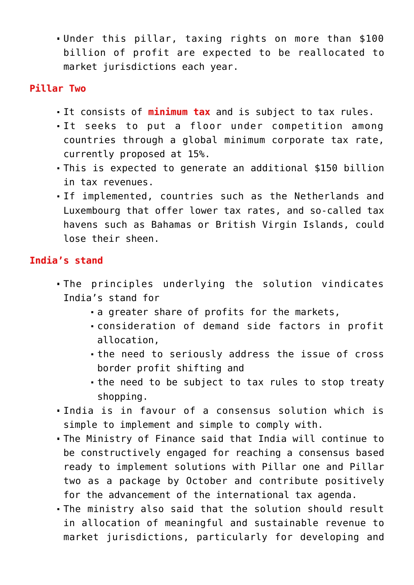Under this pillar, taxing rights on more than \$100 billion of profit are expected to be reallocated to market jurisdictions each year.

## **Pillar Two**

- It consists of **minimum tax** and is subject to tax rules.
- It seeks to put a floor under competition among countries through a global minimum corporate tax rate, currently proposed at 15%.
- This is expected to generate an additional \$150 billion in tax revenues.
- If implemented, countries such as the Netherlands and Luxembourg that offer lower tax rates, and so-called tax havens such as Bahamas or British Virgin Islands, could lose their sheen.

# **India's stand**

- The principles underlying the solution vindicates India's stand for
	- a greater share of profits for the markets,
	- consideration of demand side factors in profit allocation,
	- the need to seriously address the issue of cross border profit shifting and
	- the need to be subject to tax rules to stop treaty shopping.
- India is in favour of a consensus solution which is simple to implement and simple to comply with.
- The Ministry of Finance said that India will continue to be constructively engaged for reaching a consensus based ready to implement solutions with Pillar one and Pillar two as a package by October and contribute positively for the advancement of the international tax agenda.
- The ministry also said that the solution should result in allocation of meaningful and sustainable revenue to market jurisdictions, particularly for developing and